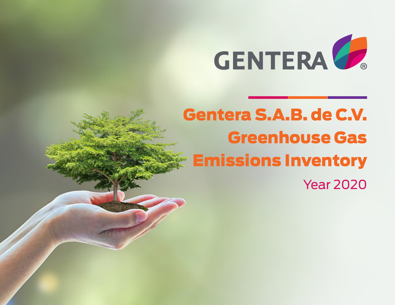

# Gentera S.A.B. de C.V. Greenhouse Gas Emissions Inventory

Year 2020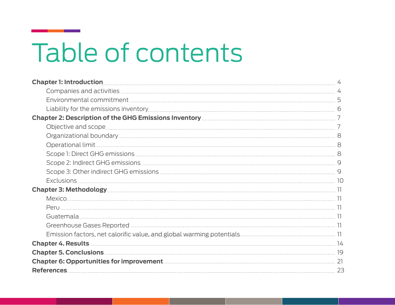# Table of contents

| <b>Chapter 4. Results 2000 Chapter 4. Results</b> 2000 14 |  |
|-----------------------------------------------------------|--|
|                                                           |  |
|                                                           |  |
|                                                           |  |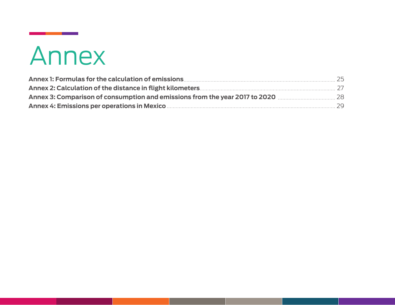# Annex

| Annex 3: Comparison of consumption and emissions from the year 2017 to 2020 <b>Manufation</b> 28 |  |
|--------------------------------------------------------------------------------------------------|--|
|                                                                                                  |  |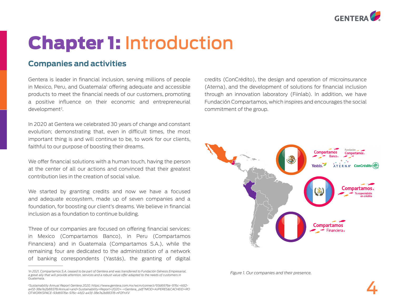

# Chapter 1: Introduction

# **Companies and activities**

Gentera is leader in financial inclusion, serving millions of people in Mexico, Peru, and Guatemala<sup>1</sup> offering adequate and accessible products to meet the financial needs of our customers, promoting a positive influence on their economic and entrepreneurial development<sup>2</sup>.

In 2020 at Gentera we celebrated 30 years of change and constant evolution; demonstrating that, even in difficult times, the most important thing is and will continue to be, to work for our clients, faithful to our purpose of boosting their dreams.

We offer financial solutions with a human touch, having the person at the center of all our actions and convinced that their greatest contribution lies in the creation of social value.

We started by granting credits and now we have a focused and adequate ecosystem, made up of seven companies and a foundation, for boosting our client's dreams. We believe in financial inclusion as a foundation to continue building.

Three of our companies are focused on offering financial services: in Mexico (Compartamos Banco), in Peru (Compartamos Financiera) and in Guatemala (Compartamos S.A.), while the remaining four are dedicated to the administration of a network of banking correspondents (Yastás), the granting of digital credits (ConCrédito), the design and operation of microinsurance (Aterna), and the development of solutions for financial inclusion through an innovation laboratory (Fiinlab). In addition, we have Fundación Compartamos, which inspires and encourages the social commitment of the group.



*Figure 1. Our companies and their presence.* 

<sup>&</sup>lt;sup>1</sup>In 2021, Compartamos S.A. ceased to be part of Gentera and was transferred to Fundación Génesis Empresarial, *a great ally that will provide attention, services and a robust value offer adapted to the needs of customers in Guatemala.*

*<sup>2</sup> Sustainability Annual Report Gentera 2020. https://www.gentera.com.mx/wcm/connect/93d6976e-976c-46f2 a45f-38e7e2b88378/Annual+and+Sustainability+Report+2020+-+Gentera\_.pdf?MOD=AJPERES&CACHEID=RO OTWORKSPACE-93d6976e-976c-46f2-a45f-38e7e2b88378-nP2FnXV*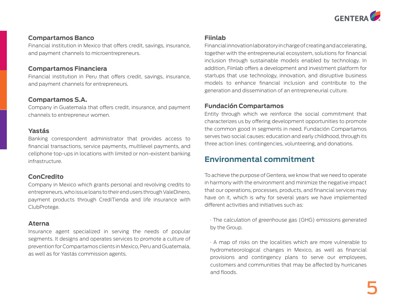

#### **Compartamos Banco**

Financial institution in Mexico that offers credit, savings, insurance, and payment channels to microentrepreneurs.

#### **Compartamos Financiera**

Financial institution in Peru that offers credit, savings, insurance, and payment channels for entrepreneurs.

#### **Compartamos S.A.**

Company in Guatemala that offers credit, insurance, and payment channels to entrepreneur women.

#### **Yastás**

Banking correspondent administrator that provides access to financial transactions, service payments, multilevel payments, and cellphone top-ups in locations with limited or non-existent banking infrastructure.

#### **ConCredito**

Company in Mexico which grants personal and revolving credits to entrepreneurs, who issue loans to their end users through ValeDinero, payment products through CrediTienda and life insurance with ClubProtege.

#### **Aterna**

Insurance agent specialized in serving the needs of popular segments. It designs and operates services to promote a culture of prevention for Compartamos clients in Mexico, Peru and Guatemala, as well as for Yastás commission agents.

#### **Fiinlab**

Financial innovation laboratory in charge of creating and accelerating, together with the entrepreneurial ecosystem, solutions for financial inclusion through sustainable models enabled by technology. In addition, Fiinlab offers a development and investment platform for startups that use technology, innovation, and disruptive business models to enhance financial inclusion and contribute to the generation and dissemination of an entrepreneurial culture.

#### **Fundación Compartamos**

Entity through which we reinforce the social commitment that characterizes us by offering development opportunities to promote the common good in segments in need. Fundación Compartamos serves two social causes: education and early childhood, through its three action lines: contingencies, volunteering, and donations.

# **Environmental commitment**

To achieve the purpose of Gentera, we know that we need to operate in harmony with the environment and minimize the negative impact that our operations, processes, products, and financial services may have on it, which is why for several years we have implemented different activities and initiatives such as:

· The calculation of greenhouse gas (GHG) emissions generated by the Group.

· A map of risks on the localities which are more vulnerable to hydrometeorological changes in Mexico, as well as financial provisions and contingency plans to serve our employees, customers and communities that may be affected by hurricanes and floods.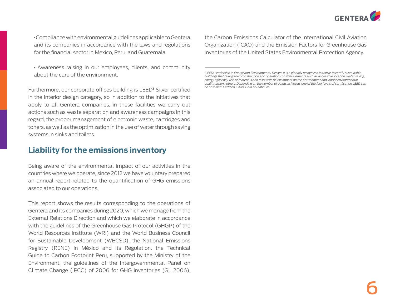

· Compliance with environmental guidelines applicable to Gentera and its companies in accordance with the laws and regulations for the financial sector in Mexico, Peru, and Guatemala.

· Awareness raising in our employees, clients, and community about the care of the environment.

Furthermore, our corporate offices building is LEED<sup>3</sup> Silver certified in the interior design category, so in addition to the initiatives that apply to all Gentera companies, in these facilities we carry out actions such as waste separation and awareness campaigns in this regard, the proper management of electronic waste, cartridges and toners, as well as the optimization in the use of water through saving systems in sinks and toilets.

#### **Liability for the emissions inventory**

Being aware of the environmental impact of our activities in the countries where we operate, since 2012 we have voluntary prepared an annual report related to the quantification of GHG emissions associated to our operations.

This report shows the results corresponding to the operations of Gentera and its companies during 2020, which we manage from the External Relations Direction and which we elaborate in accordance with the guidelines of the Greenhouse Gas Protocol (GHGP) of the World Resources Institute (WRI) and the World Business Council for Sustainable Development (WBCSD), the National Emissions Registry (RENE) in México and its Regulation, the Technical Guide to Carbon Footprint Peru, supported by the Ministry of the Environment, the guidelines of the Intergovernmental Panel on Climate Change (IPCC) of 2006 for GHG inventories (GL 2006), the Carbon Emissions Calculator of the International Civil Aviation Organization (ICAO) and the Emission Factors for Greenhouse Gas Inventories of the United States Environmental Protection Agency.

*<sup>3</sup>LEED: Leadership in Energy and Environmental Design. It is a globally recognized initiative to certify sustainable buildings that during their construction and operation consider elements such as accessible location, water saving, energy efficiency, use of materials and resources of low impact on the environment and indoor environmental quality, among others. Depending on the number of points achieved, one of the four levels of certification LEED can be obtained: Certified, Silver, Gold or Platinum.*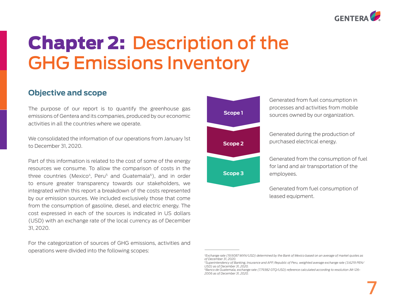

# Chapter 2: Description of the GHG Emissions Inventory

# **Objective and scope**

The purpose of our report is to quantify the greenhouse gas emissions of Gentera and its companies, produced by our economic activities in all the countries where we operate.

We consolidated the information of our operations from January 1st to December 31, 2020.

Part of this information is related to the cost of some of the energy resources we consume. To allow the comparison of costs in the three countries (Mexico<sup>4</sup>, Peru<sup>5</sup> and Guatemala<sup>6</sup>), and in order to ensure greater transparency towards our stakeholders, we integrated within this report a breakdown of the costs represented by our emission sources. We included exclusively those that come from the consumption of gasoline, diesel, and electric energy. The cost expressed in each of the sources is indicated in US dollars (USD) with an exchange rate of the local currency as of December 31, 2020.

For the categorization of sources of GHG emissions, activities and operations were divided into the following scopes:



Generated from fuel consumption in processes and activities from mobile sources owned by our organization.

Generated during the production of purchased electrical energy.

Generated from the consumption of fuel for land and air transportation of the employees.

Generated from fuel consumption of leased equipment.

*<sup>4</sup>Exchange rate (19.9087 MXN/USD) determined by the Bank of Mexico based on an average of market quotes as of December 31, 2020.*

*<sup>5</sup>Superintendency of Banking, Insurance and AFP, Republic of Peru, weighted average exchange rate (3.6219 PEN/ USD) as of December 31, 2020.* 

*<sup>6</sup>Banco de Guatemala, exchange rate (7.79382 GTQ/USD) reference calculated according to resolution JM-126- 2006 as of December 31, 2020.*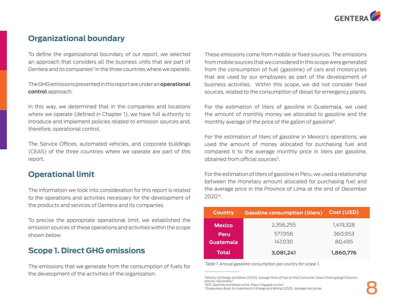

# **Organizational boundary**

To define the organizational boundary of our report, we selected an approach that considers all the business units that are part of Gentera and its companies<sup>7</sup> in the three countries where we operate.

The GHG emissions presented in this report are under an **operational control** approach.

In this way, we determined that in the companies and locations where we operate (defined in Chapter 1), we have full authority to introduce and implement policies related to emission sources and, therefore, operational control.

The Service Offices, automated vehicles, and corporate buildings (CEAS) of the three countries where we operate are part of this report.

#### **Operational limit**

The information we took into consideration for this report is related to the operations and activities necessary for the development of the products and services of Gentera and its companies.

To precise the appropriate operational limit, we established the emission sources of these operations and activities within the scope shown below.

### **Scope 1. Direct GHG emissions**

The emissions that we generate from the consumption of fuels for the development of the activities of the organization.<br><sup>8</sup>Ministry of Energy and Mines (2020). Average Price of Fuel to Final Consumer. https://mem.gob.gt/historico-

These emissions come from mobile or fixed sources. The emissions from mobile sources that we considered in this scope were generated from the consumption of fuel (gasoline) of cars and motorcycles that are used by our employees as part of the development of business activities. Within this scope, we did not consider fixed sources, related to the consumption of diesel for emergency plants.

For the estimation of liters of gasoline in Guatemala, we used the amount of monthly money we allocated to gasoline and the monthly average of the price of the gallon of gasoline<sup>8</sup>.

For the estimation of liters of gasoline in Mexico's operations, we used the amount of money allocated for purchasing fuel and compared it to the average monthly price in liters per gasoline, obtained from official sources9.

For the estimation of liters of gasoline in Peru, we used a relationship between the monetary amount allocated for purchasing fuel and the average price in the Province of Lima at the end of December 202010.

| <b>Country</b> | <b>Gasoline consumption (liters)</b> | Cost (USD) |
|----------------|--------------------------------------|------------|
| <b>Mexico</b>  | 2,356,255                            | 1,419,328  |
| Peru           | 577,956                              | 360,953    |
| Guatemala      | 147,030                              | 80,495     |
| <b>Total</b>   | 3,081,241                            | 1,860,776  |

*Table 1. Annual gasoline consumption per country for scope 1.*

*precios-nacionales/* 

*<sup>9</sup>IIEG, Gasoline and diesel prices, https://iieg.gob.mx/ns/* 

*<sup>10</sup>Supervisory Body for Investment in Energy and Mining (2020). Average fuel prices.*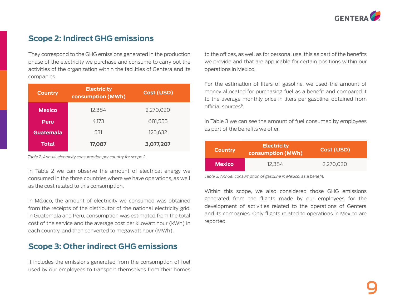

# **Scope 2: Indirect GHG emissions**

They correspond to the GHG emissions generated in the production phase of the electricity we purchase and consume to carry out the activities of the organization within the facilities of Gentera and its companies.

| <b>Country</b> | <b>Electricity</b><br>consumption (MWh) | Cost (USD) |
|----------------|-----------------------------------------|------------|
| <b>Mexico</b>  | 12.384                                  | 2,270,020  |
| Peru           | 4.173                                   | 681,555    |
| Guatemala      | 531                                     | 125,632    |
| <b>Total</b>   | 17,087                                  | 3,077,207  |

*Table 2. Annual electricity consumption per country for scope 2.* 

In Table 2 we can observe the amount of electrical energy we consumed in the three countries where we have operations, as well as the cost related to this consumption.

In México, the amount of electricity we consumed was obtained from the receipts of the distributor of the national electricity grid. In Guatemala and Peru, consumption was estimated from the total cost of the service and the average cost per kilowatt hour (kWh) in each country, and then converted to megawatt hour (MWh).

# **Scope 3: Other indirect GHG emissions**

It includes the emissions generated from the consumption of fuel used by our employees to transport themselves from their homes

to the offices, as well as for personal use, this as part of the benefits we provide and that are applicable for certain positions within our operations in Mexico.

For the estimation of liters of gasoline, we used the amount of money allocated for purchasing fuel as a benefit and compared it to the average monthly price in liters per gasoline, obtained from official sources9.

In Table 3 we can see the amount of fuel consumed by employees as part of the benefits we offer.

| <b>Country</b> | Electricity<br>Cost (USD)<br>consumption (MWh) |           |
|----------------|------------------------------------------------|-----------|
| <b>Mexico</b>  | 12.384                                         | 2,270,020 |

*Table 3. Annual consumption of gasoline in Mexico, as a benefit.* 

Within this scope, we also considered those GHG emissions generated from the flights made by our employees for the development of activities related to the operations of Gentera and its companies. Only flights related to operations in Mexico are reported.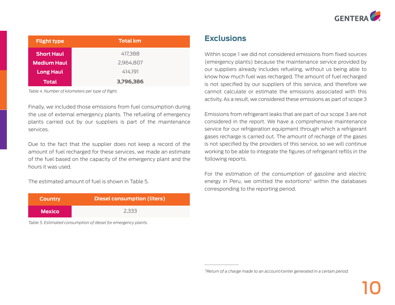

| <b>Flight type</b> | <b>Total km</b> |
|--------------------|-----------------|
| <b>Short Haul</b>  | 417,388         |
| <b>Medium Haul</b> | 2,964,807       |
| <b>Long Haul</b>   | 414.191         |
| <b>Total</b>       | 3,796,386       |

*Table 4. Number of kilometers per type of flight.* 

Finally, we included those emissions from fuel consumption during the use of external emergency plants. The refueling of emergency plants carried out by our suppliers is part of the maintenance services.

Due to the fact that the supplier does not keep a record of the amount of fuel recharged for these services, we made an estimate of the fuel based on the capacity of the emergency plant and the hours it was used.

The estimated amount of fuel is shown in Table 5.

| <b>Country</b> | Diesel consumption (liters) |
|----------------|-----------------------------|
| <b>Mexico</b>  | 2.333                       |

*Table 5. Estimated consumption of diesel for emergency plants.* 

### **Exclusions**

Within scope 1 we did not considered emissions from fixed sources (emergency plants) because the maintenance service provided by our suppliers already includes refueling, without us being able to know how much fuel was recharged. The amount of fuel recharged is not specified by our suppliers of this service, and therefore we cannot calculate or estimate the emissions associated with this activity. As a result, we considered these emissions as part of scope 3

Emissions from refrigerant leaks that are part of our scope 3 are not considered in the report. We have a comprehensive maintenance service for our refrigeration equipment through which a refrigerant gases recharge is carried out. The amount of recharge of the gases is not specified by the providers of this service, so we will continue working to be able to integrate the figures of refrigerant refills in the following reports.

For the estimation of the consumption of gasoline and electric energy in Peru, we omitted the extortions<sup>11</sup> within the databases corresponding to the reporting period.

*<sup>11</sup>Return of a charge made to an account/center generated in a certain period.*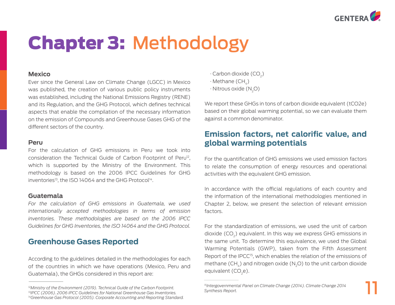

11

# Chapter 3: Methodology

#### **Mexico**

Ever since the General Law on Climate Change (LGCC) in Mexico was published, the creation of various public policy instruments was established, including the National Emissions Registry (RENE) and its Regulation, and the GHG Protocol, which defines technical aspects that enable the compilation of the necessary information on the emission of Compounds and Greenhouse Gases GHG of the different sectors of the country.

#### **Peru**

For the calculation of GHG emissions in Peru we took into consideration the Technical Guide of Carbon Footprint of  $Peru^{12}$ , which is supported by the Ministry of the Environment. This methodology is based on the 2006 IPCC Guidelines for GHG inventories<sup>13</sup>, the ISO 14064 and the GHG Protocol<sup>14</sup>.

#### **Guatemala**

For the calculation of GHG emissions in Guatemala, we used *internationally accepted methodologies in terms of emission inventories. These methodologies are based on the 2006 IPCC Guidelines for GHG Inventories, the ISO 14064 and the GHG Protocol.* 

# **Greenhouse Gases Reported**

According to the guidelines detailed in the methodologies for each of the countries in which we have operations (Mexico, Peru and Guatemala), the GHGs considered in this report are:

- $\cdot$  Carbon dioxide (CO<sub>2</sub>)
- $\cdot$  Methane (CH<sub> $<sub>4</sub>$ )</sub></sub>
- $\cdot$  Nitrous oxide (N<sub>2</sub>O)

We report these GHGs in tons of carbon dioxide equivalent (tCO2e) based on their global warming potential, so we can evaluate them against a common denominator.

# **Emission factors, net calorific value, and global warming potentials**

For the quantification of GHG emissions we used emission factors to relate the consumption of energy resources and operational activities with the equivalent GHG emission.

In accordance with the official regulations of each country and the information of the international methodologies mentioned in Chapter 2, below, we present the selection of relevant emission factors.

For the standardization of emissions, we used the unit of carbon dioxide  $(CO<sub>2</sub>)$  equivalent. In this way we express GHG emissions in the same unit. To determine this equivalence, we used the Global Warming Potentials (GWP), taken from the Fifth Assessment Report of the IPCC<sup>15</sup>, which enables the relation of the emissions of methane  $(CH<sub>4</sub>)$  and nitrogen oxide  $(N<sub>2</sub>O)$  to the unit carbon dioxide equivalent  $(CO_{2}e)$ .

*<sup>12</sup>Ministry of the Environment (2019). Technical Guide of the Carbon Footprint. 13IPCC (2006). 2006 IPCC Guidelines for National Greenhouse Gas Inventories. 14Greenhouse Gas Protocol (2005). Corporate Accounting and Reporting Standard.*

*<sup>15</sup>Intergovernmental Panel on Climate Change (2014). Climate Change 2014 Synthesis Report.*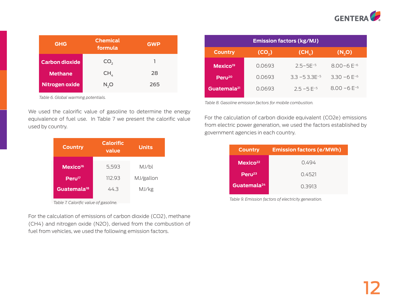

| <b>GHG</b>            | <b>Chemical</b><br>formula | <b>GWP</b> |
|-----------------------|----------------------------|------------|
| <b>Carbon dioxide</b> | CO <sub>2</sub>            |            |
| <b>Methane</b>        | CH <sub>4</sub>            | 28         |
| Nitrogen oxide        | N, O                       | 265        |

*Table 6. Global warming potentials.* 

We used the calorific value of gasoline to determine the energy equivalence of fuel use. In Table 7 we present the calorific value used by country.

| <b>Country</b>          | <b>Calorific</b><br>value | <b>Units</b> |
|-------------------------|---------------------------|--------------|
| Mexico <sup>16</sup>    | 5,593                     | MJ/bl        |
| Peru <sup>17</sup>      | 112.93                    | MJ/gallon    |
| Guatemala <sup>18</sup> | 44.3                      | MJ/kg        |

*Table 7. Calorific value of gasoline.* 

For the calculation of emissions of carbon dioxide (CO2), methane (CH4) and nitrogen oxide (N2O), derived from the combustion of fuel from vehicles, we used the following emission factors.

| <b>Emission factors (kg/MJ)</b> |                    |                     |                  |
|---------------------------------|--------------------|---------------------|------------------|
| <b>Country</b>                  | (CO <sub>2</sub> ) | (CH <sub>A</sub> )  | (N,0)            |
| Mexico <sup>19</sup>            | 0.0693             | $2.5 - 5F - 5$      | $8.00 - 6F^{-6}$ |
| Peru <sup>20</sup>              | 0.0693             | $3.3 - 5.3.3F^{-5}$ | $3.30 - 6F^{-6}$ |
| Guatemala <sup>21</sup>         | 0.0693             | $2.5 - 5F^{-5}$     | $8.00 - 6E^{-6}$ |

*Table 8. Gasoline emission factors for mobile combustion.* 

For the calculation of carbon dioxide equivalent (CO2e) emissions from electric power generation, we used the factors established by government agencies in each country.

| <b>Country</b>          | <b>Emission factors (e/MWh)</b> |
|-------------------------|---------------------------------|
| Mexico <sup>22</sup>    | O 494                           |
| Peru <sup>23</sup>      | 0.4521                          |
| Guatemala <sup>24</sup> | 0.3913                          |
|                         |                                 |

*Table 9. Emission factors of electricity generation.*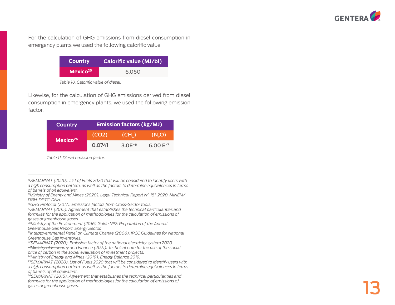

For the calculation of GHG emissions from diesel consumption in emergency plants we used the following calorific value.

| <b>Country</b>       | Calorific value (MJ/bl) |
|----------------------|-------------------------|
| Mexico <sup>25</sup> | 6.060                   |

*Table 10. Calorific value of diesel.* 

Likewise, for the calculation of GHG emissions derived from diesel consumption in emergency plants, we used the following emission factor.

| <b>Country</b>       | <b>Emission factors (kg/MJ)</b> |                  |              |  |  |
|----------------------|---------------------------------|------------------|--------------|--|--|
| Mexico <sup>26</sup> | (CO2)                           | $(CH_{\lambda})$ | (N, O)       |  |  |
|                      | 0.0741                          | $3.0E^{-6}$      | $6.00E^{-7}$ |  |  |

*Table 11. Diesel emission factor.* 

*<sup>16</sup>SEMARNAT (2020). List of Fuels 2020 that will be considered to identify users with a high consumption pattern, as well as the factors to determine equivalences in terms of barrels of oil equivalent.*

*<sup>17</sup>Ministry of Energy and Mines (2020). Legal Technical Report N° 151-2020-MINEM/ DGH-DPTC-DNH.*

*<sup>18</sup>GHG Protocol (2017). Emissions factors from Cross-Sector tools.*

*<sup>19</sup>SEMARNAT (2015). Agreement that establishes the technical particularities and formulas for the application of methodologies for the calculation of emissions of gases or greenhouse gases.*

*<sup>20</sup>Ministry of the Environment (2016) Guide N°2: Preparation of the Annual Greenhouse Gas Report, Energy Sector.*

*<sup>21</sup>Intergovernmental Panel on Climate Change (2006). IPCC Guidelines for National Greenhouse Gas Inventories.*

*<sup>22</sup>SEMARNAT (2020). Emission factor of the national electricity system 2020. 23Ministry of Economy and Finance (2021). Technical note for the use of the social price of carbon in the social evaluation of investment projects.* 

*<sup>24</sup>Ministry of Energy and Mines (2019). Energy Balance 2019.*

*<sup>25</sup>SEMARNAT (2020). List of Fuels 2020 that will be considered to identify users with a high consumption pattern, as well as the factors to determine equivalences in terms of barrels of oil equivalent.*

*<sup>26</sup>SEMARNAT (2015). Agreement that establishes the technical particularities and*  formulas for the application of methodologies for the calculation of emissions of *gases or greenhouse gases.*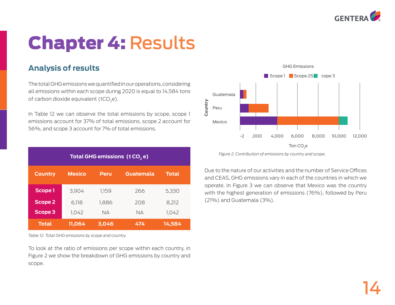

# Chapter 4: Results

# **Analysis of results**

The total GHG emissions we quantified in our operations, considering all emissions within each scope during 2020 is equal to 14,584 tons of carbon dioxide equivalent ( $tCO<sub>2</sub>e$ ).

In Table 12 we can observe the total emissions by scope, scope 1 emissions account for 37% of total emissions, scope 2 account for 56%, and scope 3 account for 7% of total emissions.

| Total GHG emissions (t CO <sub>2</sub> e)                                   |        |           |           |        |  |  |  |  |
|-----------------------------------------------------------------------------|--------|-----------|-----------|--------|--|--|--|--|
| <b>Total</b><br><b>Country</b><br><b>Mexico</b><br>Guatemala<br><b>Peru</b> |        |           |           |        |  |  |  |  |
| Scope 1                                                                     | 3,904  | 1,159     | 266       | 5,330  |  |  |  |  |
| <b>Scope 2</b>                                                              | 6,118  | 1,886     | 208       | 8,212  |  |  |  |  |
| Scope 3                                                                     | 1,042  | <b>NA</b> | <b>NA</b> | 1,042  |  |  |  |  |
| <b>Total</b>                                                                | 11,064 | 3,046     | 474       | 14,584 |  |  |  |  |

*Table 12. Total GHG emissions by scope and country.* 

To look at the ratio of emissions per scope within each country, in Figure 2 we show the breakdown of GHG emissions by country and scope.



*Figure 2. Contribution of emissions by country and scope.*

Due to the nature of our activities and the number of Service Offices and CEAS, GHG emissions vary in each of the countries in which we operate. In Figure 3 we can observe that Mexico was the country with the highest generation of emissions (76%), followed by Peru (21%) and Guatemala (3%).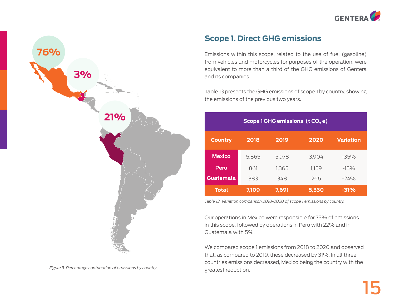



*Figure 3. Percentage contribution of emissions by country.*

# **Scope 1. Direct GHG emissions**

Emissions within this scope, related to the use of fuel (gasoline) from vehicles and motorcycles for purposes of the operation, were equivalent to more than a third of the GHG emissions of Gentera and its companies.

Table 13 presents the GHG emissions of scope 1 by country, showing the emissions of the previous two years.

| Scope 1 GHG emissions (t CO <sub>2</sub> e)                |       |       |       |        |  |  |  |  |
|------------------------------------------------------------|-------|-------|-------|--------|--|--|--|--|
| 2019<br>2020<br>2018<br><b>Variation</b><br><b>Country</b> |       |       |       |        |  |  |  |  |
| <b>Mexico</b>                                              | 5,865 | 5,978 | 3,904 | $-35%$ |  |  |  |  |
| Peru                                                       | 861   | 1,365 | 1,159 | $-15%$ |  |  |  |  |
| <b>Guatemala</b><br>266<br>$-24%$<br>383<br>348            |       |       |       |        |  |  |  |  |
| <b>Total</b>                                               | 7,109 | 7,691 | 5,330 | $-31%$ |  |  |  |  |

*Table 13. Variation comparison 2018-2020 of scope 1 emissions by country.* 

Our operations in Mexico were responsible for 73% of emissions in this scope, followed by operations in Peru with 22% and in Guatemala with 5%.

We compared scope 1 emissions from 2018 to 2020 and observed that, as compared to 2019, these decreased by 31%. In all three countries emissions decreased, Mexico being the country with the greatest reduction.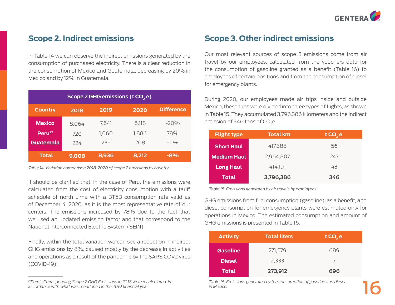

# **Scope 2. Indirect emissions**

In Table 14 we can observe the indirect emissions generated by the consumption of purchased electricity. There is a clear reduction in the consumption of Mexico and Guatemala, decreasing by 20% in Mexico and by 12% in Guatemala.

| Scope 2 GHG emissions (t CO <sub>2</sub> e)                 |       |       |       |        |  |  |  |  |
|-------------------------------------------------------------|-------|-------|-------|--------|--|--|--|--|
| <b>Difference</b><br>2019<br><b>Country</b><br>2020<br>2018 |       |       |       |        |  |  |  |  |
| <b>Mexico</b>                                               | 8,064 | 7,641 | 6,118 | $-20%$ |  |  |  |  |
| Peru <sup>27</sup>                                          | 720   | 1.060 | 1,886 | 78%    |  |  |  |  |
| Guatemala                                                   | 224   | 235   | 208   | $-11%$ |  |  |  |  |
| <b>Total</b>                                                | 9,008 | 8,936 | 8,212 | -8%    |  |  |  |  |

*Table 14. Variation comparison 2018-2020 of scope 2 emissions by country.* 

It should be clarified that, in the case of Peru, the emissions were calculated from the cost of electricity consumption with a tariff schedule of north Lima with a BT5B consumption rate valid as of December 4, 2020, as it is the most representative rate of our centers. The emissions increased by 78% due to the fact that we used an updated emission factor and that correspond to the National Interconnected Electric System (SEIN).

Finally, within the total variation we can see a reduction in indirect GHG emissions by 8%, caused mostly by the decrease in activities and operations as a result of the pandemic by the SARS COV2 virus (COVID-19).

# **Scope 3. Other indirect emissions**

Our most relevant sources of scope 3 emissions come from air travel by our employees, calculated from the vouchers data for the consumption of gasoline granted as a benefit (Table 16) to employees of certain positions and from the consumption of diesel for emergency plants.

During 2020, our employees made air trips inside and outside Mexico, these trips were divided into three types of flights, as shown in Table 15. They accumulated 3,796,386 kilometers and the indirect emission of 346 tons of CO<sub>2</sub>e.

| <b>Flight type</b> | <b>Total km</b> | t CO <sub>2</sub> e |
|--------------------|-----------------|---------------------|
| <b>Short Haul</b>  | 417.388         | 56                  |
| <b>Medium Haul</b> | 2.964.807       | 247                 |
| <b>Long Haul</b>   | 414.191         | 43                  |
| Total              | 3,796,386       | 346                 |

*Table 15. Emissions generated by air travels by employees.*

GHG emissions from fuel consumption (gasoline), as a benefit, and diesel consumption for emergency plants were estimated only for operations in Mexico. The estimated consumption and amount of GHG emissions is presented in Table 16.

| <b>Activity</b> | <b>Total liters</b> | tCO, e |
|-----------------|---------------------|--------|
| <b>Gasoline</b> | 271,579             | 689    |
| <b>Diesel</b>   | 2,333               |        |
| <b>Total</b>    | 273,912             | 696    |

*Table 16. Emissions generated by the consumption of gasoline and diesel in Mexico.* 

*<sup>27</sup>Peru's Corresponding Scope 2 GHG Emissions in 2018 were recalculated, in accordance with what was mentioned in the 2019 financial year.*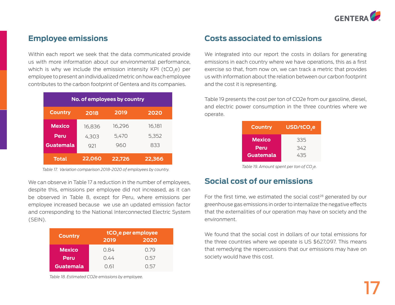

# **Employee emissions**

Within each report we seek that the data communicated provide us with more information about our environmental performance, which is why we include the emission intensity KPI (tCO<sub>2</sub>e) per employee to present an individualized metric on how each employee contributes to the carbon footprint of Gentera and its companies.

| No. of employees by country |        |        |        |  |  |  |
|-----------------------------|--------|--------|--------|--|--|--|
| <b>Country</b>              | 2018   | 2019   | 2020   |  |  |  |
| <b>Mexico</b>               | 16,836 | 16,296 | 16,181 |  |  |  |
| Peru                        | 4,303  | 5,470  | 5,352  |  |  |  |
| Guatemala                   | 921    | 960    | 833    |  |  |  |
| <b>Total</b>                | 22,060 | 22,726 | 22,366 |  |  |  |

*Table 17. Variation comparison 2018-2020 of employees by country.*

We can observe in Table 17 a reduction in the number of employees, despite this, emissions per employee did not increased, as it can be observed in Table 8, except for Peru, where emissions per employee increased because we use an updated emission factor and corresponding to the National Interconnected Electric System (SEIN).

| <b>Country</b> | tCO <sub>2</sub> e per employee |      |  |  |
|----------------|---------------------------------|------|--|--|
|                | 2019                            | 2020 |  |  |
| <b>Mexico</b>  | 0.84                            | 0.79 |  |  |
| Peru           | 0.44                            | 0.57 |  |  |
| Guatemala      | 0.61                            | ()5/ |  |  |

*Table 18. Estimated CO2e emissions by employee.* 

# **Costs associated to emissions**

We integrated into our report the costs in dollars for generating emissions in each country where we have operations, this as a first exercise so that, from now on, we can track a metric that provides us with information about the relation between our carbon footprint and the cost it is representing.

Table 19 presents the cost per ton of CO2e from our gasoline, diesel, and electric power consumption in the three countries where we operate.

| <b>Country</b>   | USD/tCO <sub>2</sub> e |
|------------------|------------------------|
| <b>Mexico</b>    | 335                    |
| Peru             | 342                    |
| <b>Guatemala</b> | 435                    |

*Table 19. Amount spent per ton of CO<sub>2</sub>e.* 

### **Social cost of our emissions**

For the first time, we estimated the social cost<sup>28</sup> generated by our greenhouse gas emissions in order to internalize the negative effects that the externalities of our operation may have on society and the environment.

We found that the social cost in dollars of our total emissions for the three countries where we operate is US \$627,097. This means that remedying the repercussions that our emissions may have on society would have this cost.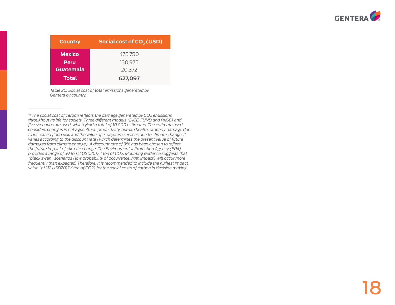

| <b>Country</b> | Social cost of CO <sub>2</sub> (USD) |  |  |  |  |
|----------------|--------------------------------------|--|--|--|--|
| <b>Mexico</b>  | 475.750                              |  |  |  |  |
| Peru           | 130,975                              |  |  |  |  |
| Guatemala      | 20,372                               |  |  |  |  |
| <b>Total</b>   | 627,097                              |  |  |  |  |

*Table 20. Social cost of total emissions generated by Gentera by country.* 

 *<sup>28</sup>The social cost of carbon reflects the damage generated by CO2 emissions throughout its life for society. Three different models (DICE, FUND and PAGE) and five scenarios are used, which yield a total of 10,000 estimates. The estimate used considers changes in net agricultural productivity, human health, property damage due to increased flood risk, and the value of ecosystem services due to climate change. It varies according to the discount rate (which determines the present value of future damages from climate change). A discount rate of 3% has been chosen to reflect the future impact of climate change. The Environmental Protection Agency (EPA) provides a range of 39 to 112 USD2017 / ton of CO2. Mounting evidence suggests that "black swan" scenarios (low probability of occurrence, high impact) will occur more frequently than expected. Therefore, it is recommended to include the highest impact value (of 112 USD2017 / ton of CO2) for the social costs of carbon in decision making.*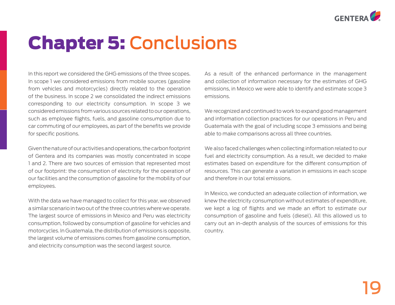

# Chapter 5: Conclusions

In this report we considered the GHG emissions of the three scopes. In scope 1 we considered emissions from mobile sources (gasoline from vehicles and motorcycles) directly related to the operation of the business. In scope 2 we consolidated the indirect emissions corresponding to our electricity consumption. In scope 3 we considered emissions from various sources related to our operations, such as employee flights, fuels, and gasoline consumption due to car commuting of our employees, as part of the benefits we provide for specific positions.

Given the nature of our activities and operations, the carbon footprint of Gentera and its companies was mostly concentrated in scope 1 and 2. There are two sources of emission that represented most of our footprint: the consumption of electricity for the operation of our facilities and the consumption of gasoline for the mobility of our employees.

With the data we have managed to collect for this year, we observed a similar scenario in two out of the three countries where we operate. The largest source of emissions in Mexico and Peru was electricity consumption, followed by consumption of gasoline for vehicles and motorcycles. In Guatemala, the distribution of emissions is opposite, the largest volume of emissions comes from gasoline consumption, and electricity consumption was the second largest source.

As a result of the enhanced performance in the management and collection of information necessary for the estimates of GHG emissions, in Mexico we were able to identify and estimate scope 3 emissions.

We recognized and continued to work to expand good management and information collection practices for our operations in Peru and Guatemala with the goal of including scope 3 emissions and being able to make comparisons across all three countries.

We also faced challenges when collecting information related to our fuel and electricity consumption. As a result, we decided to make estimates based on expenditure for the different consumption of resources. This can generate a variation in emissions in each scope and therefore in our total emissions.

In Mexico, we conducted an adequate collection of information, we knew the electricity consumption without estimates of expenditure, we kept a log of flights and we made an effort to estimate our consumption of gasoline and fuels (diesel). All this allowed us to carry out an in-depth analysis of the sources of emissions for this country.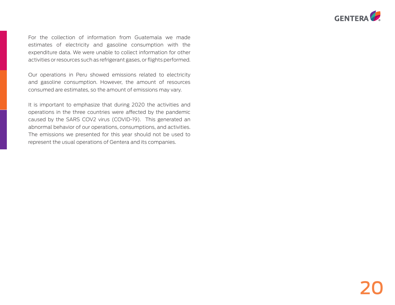

For the collection of information from Guatemala we made estimates of electricity and gasoline consumption with the expenditure data. We were unable to collect information for other activities or resources such as refrigerant gases, or flights performed.

Our operations in Peru showed emissions related to electricity and gasoline consumption. However, the amount of resources consumed are estimates, so the amount of emissions may vary.

It is important to emphasize that during 2020 the activities and operations in the three countries were affected by the pandemic caused by the SARS COV2 virus (COVID-19). This generated an abnormal behavior of our operations, consumptions, and activities. The emissions we presented for this year should not be used to represent the usual operations of Gentera and its companies.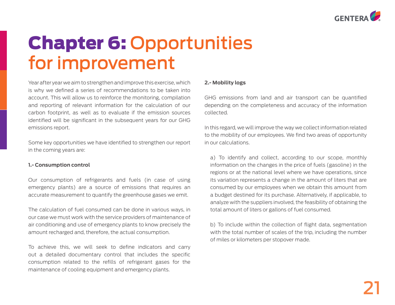

# Chapter 6: Opportunities for improvement

Year after year we aim to strengthen and improve this exercise, which is why we defined a series of recommendations to be taken into account. This will allow us to reinforce the monitoring, compilation and reporting of relevant information for the calculation of our carbon footprint, as well as to evaluate if the emission sources identified will be significant in the subsequent years for our GHG emissions report.

Some key opportunities we have identified to strengthen our report in the coming years are:

#### **1.- Consumption control**

Our consumption of refrigerants and fuels (in case of using emergency plants) are a source of emissions that requires an accurate measurement to quantify the greenhouse gases we emit.

The calculation of fuel consumed can be done in various ways, in our case we must work with the service providers of maintenance of air conditioning and use of emergency plants to know precisely the amount recharged and, therefore, the actual consumption.

To achieve this, we will seek to define indicators and carry out a detailed documentary control that includes the specific consumption related to the refills of refrigerant gases for the maintenance of cooling equipment and emergency plants.

#### **2.- Mobility logs**

GHG emissions from land and air transport can be quantified depending on the completeness and accuracy of the information collected.

In this regard, we will improve the way we collect information related to the mobility of our employees. We find two areas of opportunity in our calculations.

a) To identify and collect, according to our scope, monthly information on the changes in the price of fuels (gasoline) in the regions or at the national level where we have operations, since its variation represents a change in the amount of liters that are consumed by our employees when we obtain this amount from a budget destined for its purchase. Alternatively, if applicable, to analyze with the suppliers involved, the feasibility of obtaining the total amount of liters or gallons of fuel consumed.

b) To include within the collection of flight data, segmentation with the total number of scales of the trip, including the number of miles or kilometers per stopover made.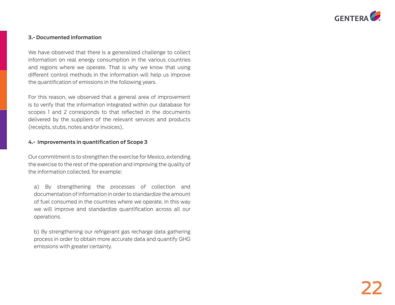

#### **3.- Documented information**

We have observed that there is a generalized challenge to collect information on real energy consumption in the various countries and regions where we operate. That is why we know that using different control methods in the information will help us improve the quantification of emissions in the following years.

For this reason, we observed that a general area of improvement is to verify that the information integrated within our database for scopes 1 and 2 corresponds to that reflected in the documents delivered by the suppliers of the relevant services and products (receipts, stubs, notes and/or invoices).

#### **4.- Improvements in quantification of Scope 3**

Our commitment is to strengthen the exercise for Mexico, extending the exercise to the rest of the operation and improving the quality of the information collected, for example:

a) By strengthening the processes of collection and documentation of information in order to standardize the amount of fuel consumed in the countries where we operate. In this way we will improve and standardize quantification across all our operations.

b) By strengthening our refrigerant gas recharge data gathering process in order to obtain more accurate data and quantify GHG emissions with greater certainty.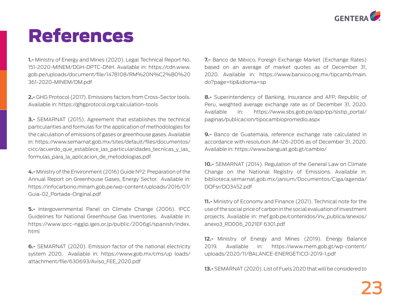

# References

**1.-** Ministry of Energy and Mines (2020). Legal Technical Report No. 151-2020-MINEM/DGH-DPTC-DNH. Available in: https://cdn.www. gob.pe/uploads/document/file/1478108/RM%20N%C2%B0%20 361-2020-MINEM/DM.pdf

**2.-** GHG Protocol (2017). Emissions factors from Cross-Sector tools. Available in: https://ghgprotocol.org/calculation-tools

**3.-** SEMARNAT (2015). Agreement that establishes the technical particularities and formulas for the application of methodologies for the calculation of emissions of gases or greenhouse gases. Available in: https://www.semarnat.gob.mx/sites/default/files/documentos/ cicc/acuerdo\_que\_establece\_las\_particularidades\_tecnicas\_y\_las\_ formulas\_para\_la\_aplicacion\_de\_metodologias.pdf

**4.-** Ministry of the Environment (2016) Guide N°2: Preparation of the Annual Report on Greenhouse Gases, Energy Sector. Available in: https://infocarbono.minam.gob.pe/wp-content/uploads/2016/07/ Guia-02\_Portada-Original.pdf

**5.-** Intergovernmental Panel on Climate Change (2006). IPCC Guidelines for National Greenhouse Gas Inventories. Available in: https://www.ipcc-nggip.iges.or.jp/public/2006gl/spanish/index. html

**6.-** SEMARNAT (2020). Emission factor of the national electricity system 2020. Available in: https://www.gob.mx/cms/up loads/ attachment/file/630693/Aviso\_FEE\_2020.pdf

**7.-** Banco de México, Foreign Exchange Market (Exchange Rates) based on an average of market quotes as of December 31, 2020. Available in: https://www.banxico.org.mx/tipcamb/main. do?page=tip&idioma=sp

**8.-** Superintendency of Banking, Insurance and AFP, Republic of Peru, weighted average exchange rate as of December 31, 2020. Available in: https://www.sbs.gob.pe/app/pp/sistip\_portal/ paginas/publicacion/tipocambiopromedio.aspx

**9.-** Banco de Guatemala, reference exchange rate calculated in accordance with resolution JM-126-2006 as of December 31, 2020. Available in: https://www.banguat.gob.gt/cambio/

**10.-** SEMARNAT (2014). Regulation of the General Law on Climate Change on the National Registry of Emissions. Available in: biblioteca.semarnat.gob.mx/janium/Documentos/Ciga/agenda/ DOFsr/DO3452.pdf

**11.-** Ministry of Economy and Finance (2021). Technical note for the use of the social price of carbon in the social evaluation of investment projects. Available in: mef.gob.pe/contenidos/inv\_publica/anexos/ anexo3\_RD006\_2021EF 6301.pdf

**12.-** Ministry of Energy and Mines (2019). Energy Balance 2019. Available in: https://www.mem.gob.gt/wp-content/ uploads/2020/11/BALANCE-ENERGETICO-2019-1.pdf

**13.-** SEMARNAT (2020). List of Fuels 2020 that will be considered to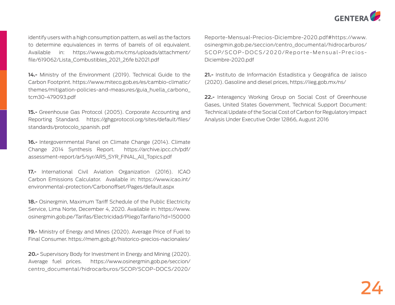

identify users with a high consumption pattern, as well as the factors to determine equivalences in terms of barrels of oil equivalent. Available in: https://www.gob.mx/cms/uploads/attachment/ file/619062/Lista\_Combustibles\_2021\_26fe b2021.pdf

**14.-** Ministry of the Environment (2019). Technical Guide to the Carbon Footprint. https://www.miteco.gob.es/es/cambio-climatic/ themes/mitigation-policies-and-measures/guia\_huella\_carbono\_ tcm30-479093.pdf

**15.-** Greenhouse Gas Protocol (2005). Corporate Accounting and Reporting Standard. https://ghgprotocol.org/sites/default/files/ standards/protocolo\_spanish. pdf

**16.-** Intergovernmental Panel on Climate Change (2014). Climate Change 2014 Synthesis Report. https://archive.ipcc.ch/pdf/ assessment-report/ar5/syr/AR5\_SYR\_FINAL\_All\_Topics.pdf

**17.-** International Civil Aviation Organization (2016). ICAO Carbon Emissions Calculator. Available in: https://www.icao.int/ environmental-protection/Carbonoffset/Pages/default.aspx

**18.-** Osinergmin, Maximum Tariff Schedule of the Public Electricity Service, Lima Norte, December 4, 2020. Available in: https://www. osinergmin.gob.pe/Tarifas/Electricidad/PliegoTarifario?Id=150000

**19.-** Ministry of Energy and Mines (2020). Average Price of Fuel to Final Consumer. https://mem.gob.gt/historico-precios-nacionales/

**20.-** Supervisory Body for Investment in Energy and Mining (2020). Average fuel prices. https://www.osinergmin.gob.pe/seccion/ centro\_documental/hidrocarburos/SCOP/SCOP-DOCS/2020/ Reporte-Mensual-Precios-Diciembre-2020.pdf#https://www. osinergmin.gob.pe/seccion/centro\_documental/hidrocarburos/ SCOP/SCOP-DOCS/2020/Reporte-Mensual-Precios-Diciembre-2020.pdf

**21.-** Instituto de Información Estadística y Geográfica de Jalisco (2020). Gasoline and diesel prices, https://iieg.gob.mx/ns/

**22.-** Interagency Working Group on Social Cost of Greenhouse Gases, United States Government, Technical Support Document: Technical Update of the Social Cost of Carbon for Regulatory Impact Analysis Under Executive Order 12866, August 2016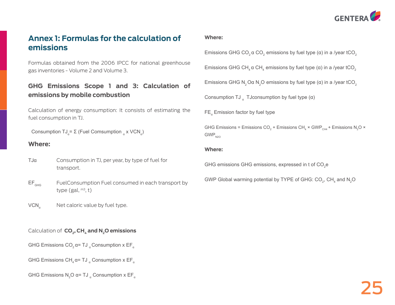

# **Annex 1: Formulas for the calculation of emissions**

Formulas obtained from the 2006 IPCC for national greenhouse gas inventories - Volume 2 and Volume 3.

### **GHG Emissions Scope 1 and 3: Calculation of emissions by mobile combustion**

Calculation of energy consumption: It consists of estimating the fuel consumption in TJ.

Consumption  $TJ_a = \Sigma$  (Fuel Comsumption  $_a$  x VCN<sub>a</sub>)

#### **Where:**

- Consumption in TJ, per year, by type of fuel for transport. TJα
- FuelConsumption Fuel consumed in each transport by type  $(gal, m3, t)$  $EF_{GHG}$
- Net caloric value by fuel type.  $VCN<sub>a</sub>$

#### Calculation of **CO<sub>2</sub>, CH<sub>4</sub> and N<sub>2</sub>O emissions**

- GHG Emissions  $CO_2$   $\alpha$ = TJ  $_{\alpha}$  Consumption x EF $_{\alpha}$
- GHG Emissions CH<sub>4</sub>  $\alpha$ = TJ  $_{\alpha}$  Consumption x EF<sub> $_{\alpha}$ </sub>
- GHG Emissions N $_{\textrm{2}}$ O α= TJ  $_{\textrm{\tiny{\alpha}}}$  Consumption x EF $_{\textrm{\tiny{\alpha}}}$

#### **Where:**

Emissions GHG CO<sub>2</sub>  $\alpha$  CO<sub>2</sub> emissions by fuel type ( $\alpha$ ) in a /year tCO<sub>2</sub>

Emissions GHG CH<sub>4</sub>  $\alpha$  CH<sub>4</sub> emissions by fuel type ( $\alpha$ ) in a /year tCO<sub>2</sub>

Emissions GHG N<sub>2</sub>Oα N<sub>2</sub>O emissions by fuel type (α) in a /year tCO<sub>2</sub>

Consumption TJ  $_{\alpha}$  TJconsumption by fuel type ( $\alpha$ )

 $FE<sub>a</sub>$  Emission factor by fuel type

GHG Emissions = Emissions CO<sub>2</sub> + Emissions CH<sub>4</sub> × GWP<sub>CH4</sub> + Emissions N<sub>2</sub>O ×  $GWP<sub>N2O</sub>$ 

#### **Where:**

GHG emissions GHG emissions, expressed in t of  $\mathrm{CO}_2$ e

GWP Global warming potential by TYPE of GHG: CO<sub>2</sub>, CH<sub>4</sub> and N<sub>2</sub>O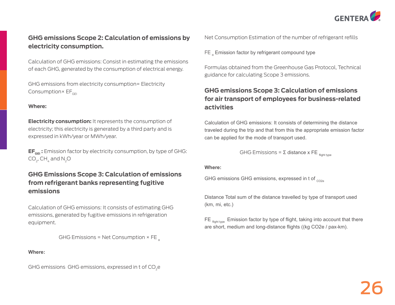

#### **GHG emissions Scope 2: Calculation of emissions by electricity consumption.**

Calculation of GHG emissions: Consist in estimating the emissions of each GHG, generated by the consumption of electrical energy.

GHG emissions from electricity consumption= Electricity Consumption $\times$  EF $_{\text{GEL}}$ 

#### **Where:**

**Electricity consumption:** It represents the consumption of electricity; this electricity is generated by a third party and is expressed in kWh/year or MWh/year.

**EF<sub>GEI</sub>:** Emission factor by electricity consumption, by type of GHG:  $CO<sub>2</sub>$ , CH<sub> $4$ </sub> and N<sub>2</sub>O

#### **GHG Emissions Scope 3: Calculation of emissions from refrigerant banks representing fugitive emissions**

Calculation of GHG emissions: It consists of estimating GHG emissions, generated by fugitive emissions in refrigeration equipment.

#### GHG Emissions = Net Consumption  $\times$  FE  $_{\alpha}$

#### **Where:**

GHG emissions GHG emissions, expressed in t of CO<sub>2</sub>e

Net Consumption Estimation of the number of refrigerant refills

FE  $_{\alpha}$  Emission factor by refrigerant compound type

Formulas obtained from the Greenhouse Gas Protocol, Technical guidance for calculating Scope 3 emissions.

#### **GHG emissions Scope 3: Calculation of emissions for air transport of employees for business-related activities**

Calculation of GHG emissions: It consists of determining the distance traveled during the trip and that from this the appropriate emission factor can be applied for the mode of transport used.

GHG Emissions = Σ distance x FE  $_{\text{flicht tree}}$ 

#### **Where:**

GHG emissions GHG emissions, expressed in t of  $_{CO2}$ 

Distance Total sum of the distance travelled by type of transport used (km, mi, etc.)

FE  $f_{\text{fiont two}}$  Emission factor by type of flight, taking into account that there are short, medium and long-distance flights ((kg CO2e / pax-km).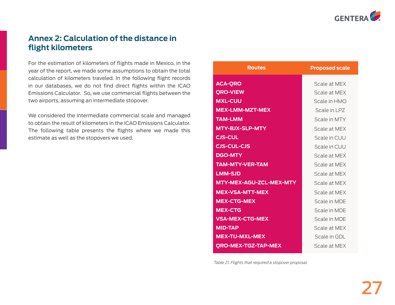

# **Annex 2: Calculation of the distance in flight kilometers**

For the estimation of kilometers of flights made in Mexico, in the year of the report, we made some assumptions to obtain the total calculation of kilometers traveled. In the following flight records in our databases, we do not find direct flights within the ICAO Emissions Calculator. So, we use commercial flights between the two airports, assuming an intermediate stopover.

We considered the intermediate commercial scale and managed to obtain the result of kilometers in the ICAO Emissions Calculator. The following table presents the flights where we made this estimate as well as the stopovers we used.

| <b>Routes</b>              | <b>Proposed scale</b> |
|----------------------------|-----------------------|
| <b>ACA-QRO</b>             | Scale at MFX          |
| <b>QRO-VIEW</b>            | Scale at MFX          |
| <b>MXL-CUU</b>             | Scale in HMO          |
| <b>MEX-LMM-MZT-MEX</b>     | Scale in LPZ          |
| <b>TAM-LMM</b>             | Scale in MTY          |
| <b>MTY-BJX-SLP-MTY</b>     | Scale at MEX          |
| <b>CJS-CUL</b>             | Scale in CUU          |
| <b>CJS-CUL-CJS</b>         | Scale in CUU          |
| <b>DGO-MTY</b>             | Scale at MFX          |
| <b>TAM-MTY-VER-TAM</b>     | Scale at MFX          |
| <b>LMM-SJD</b>             | Scale at MFX          |
| MTY-MEX-AGU-ZCL-MEX-MTY    | Scale at MFX          |
| <b>MEX-VSA-MTT-MEX</b>     | Scale at MFX          |
| <b>MEX-CTG-MEX</b>         | Scale in MDF          |
| <b>MEX-CTG</b>             | Scale in MDF          |
| <b>VSA-MEX-CTG-MEX</b>     | Scale in MDE          |
| <b>MID-TAP</b>             | Scale at MEX          |
| <b>MEX-TIJ-MXL-MEX</b>     | Scale in GDL          |
| <b>QRO-MEX-TGZ-TAP-MEX</b> | Scale at MFX          |

*Table 21. Flights that required a stopover proposal.*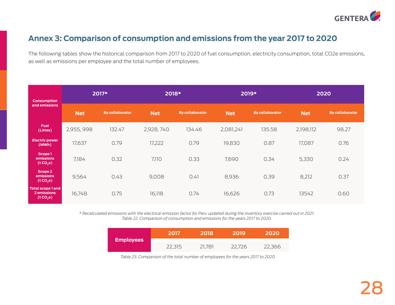

# **Annex 3: Comparison of consumption and emissions from the year 2017 to 2020**

The following tables show the historical comparison from 2017 to 2020 of fuel consumption, electricity consumption, total CO2e emissions, as well as emissions per employee and the total number of employees.

| <b>Consumption</b>                                 |            | 2017*                  | 2018*      |                        |            | 2019*                  |            | 2020                   |
|----------------------------------------------------|------------|------------------------|------------|------------------------|------------|------------------------|------------|------------------------|
| and emissions                                      | <b>Net</b> | <b>By collaborator</b> | <b>Net</b> | <b>By collaborator</b> | <b>Net</b> | <b>By collaborator</b> | <b>Net</b> | <b>By collaborator</b> |
| <b>Fuel</b><br>(Litres)                            | 2,955, 998 | 132.47                 | 2,928,740  | 134.46                 | 2,081,241  | 135.58                 | 2,198,112  | 98.27                  |
| <b>Electric power</b><br>(MWh)                     | 17,637     | 0.79                   | 17,222     | 0.79                   | 19,830     | 0.87                   | 17,087     | 0.76                   |
| Scope 1<br>emissions<br>(tCO,e)                    | 7,184      | 0.32                   | 7,110      | 0.33                   | 7,690      | 0.34                   | 5,330      | 0.24                   |
| Scope 2<br>emissions<br>(tCO,e)                    | 9,564      | 0.43                   | 9,008      | 0.41                   | 8,936      | 0.39                   | 8,212      | 0.37                   |
| <b>Total scope 1 and</b><br>2 emissions<br>(tCO,e) | 16,748     | 0.75                   | 16,118     | 0.74                   | 16,626     | 0.73                   | 13542      | 0.60                   |

*\* Recalculated emissions with the electrical emission factor for Peru updated during the inventory exercise carried out in 2021. Table 22. Comparison of consumption and emissions for the years 2017 to 2020.*

| <b>Employees</b> | 2017   | 2018   | 2019   | 2020   |
|------------------|--------|--------|--------|--------|
|                  | 22,315 | 21.781 | 22.726 | 22,366 |

*Table 23. Comparison of the total number of employees for the years 2017 to 2020.*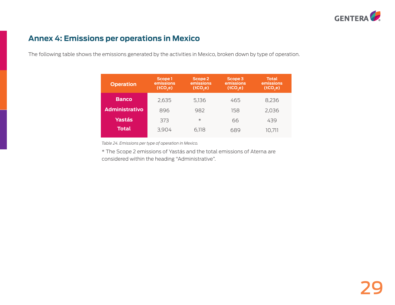

# **Annex 4: Emissions per operations in Mexico**

The following table shows the emissions generated by the activities in Mexico, broken down by type of operation.

| <b>Operation</b>      | Scope 1<br>emissions<br>(tCO,e) | Scope 2<br>emissions<br>(tCO,e) | Scope 3<br>emissions <sup>'</sup><br>(tCO,e) | <b>Total</b><br>emissions<br>(tCO,e) |
|-----------------------|---------------------------------|---------------------------------|----------------------------------------------|--------------------------------------|
| <b>Banco</b>          | 2,635                           | 5.136                           | 465                                          | 8,236                                |
| <b>Administrativo</b> | 896                             | 982                             | 158                                          | 2,036                                |
| <b>Yastás</b>         | 373                             | $\ast$                          | 66                                           | 439                                  |
| Total                 | 3,904                           | 6,118                           | 689                                          | 10.711                               |

*Table 24. Emissions per type of operation in Mexico.*

\* The Scope 2 emissions of Yastás and the total emissions of Aterna are considered within the heading "Administrative".